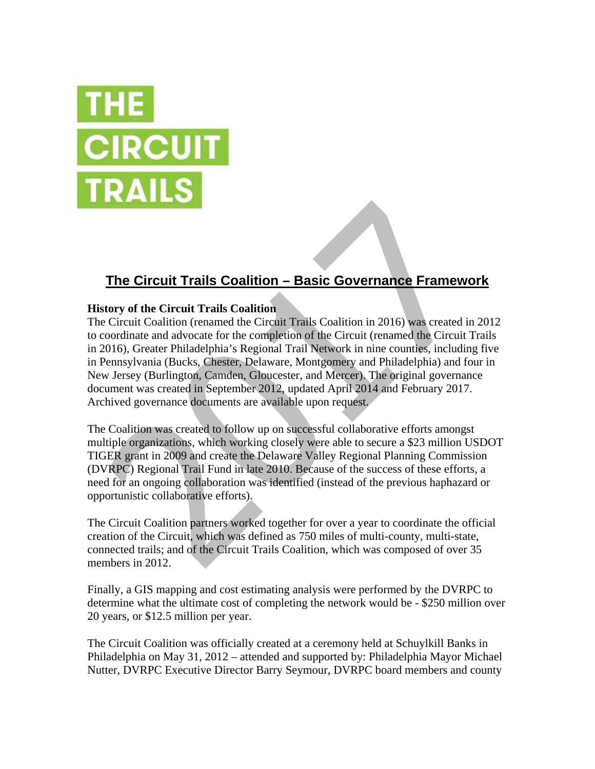

# **The Circuit Trails Coalition – Basic Governance Framework**

# **History of the Circuit Trails Coalition**

The Circuit Coalition (renamed the Circuit Trails Coalition in 2016) was created in 2012 to coordinate and advocate for the completion of the Circuit (renamed the Circuit Trails in 2016), Greater Philadelphia's Regional Trail Network in nine counties, including five in Pennsylvania (Bucks, Chester, Delaware, Montgomery and Philadelphia) and four in New Jersey (Burlington, Camden, Gloucester, and Mercer). The original governance document was created in September 2012, updated April 2014 and February 2017. Archived governance documents are available upon request.

The Coalition was created to follow up on successful collaborative efforts amongst multiple organizations, which working closely were able to secure a \$23 million USDOT TIGER grant in 2009 and create the Delaware Valley Regional Planning Commission (DVRPC) Regional Trail Fund in late 2010. Because of the success of these efforts, a need for an ongoing collaboration was identified (instead of the previous haphazard or opportunistic collaborative efforts).

The Circuit Coalition partners worked together for over a year to coordinate the official creation of the Circuit, which was defined as 750 miles of multi-county, multi-state, connected trails; and of the Circuit Trails Coalition, which was composed of over 35 members in 2012.

Finally, a GIS mapping and cost estimating analysis were performed by the DVRPC to determine what the ultimate cost of completing the network would be - \$250 million over 20 years, or \$12.5 million per year.

The Circuit Coalition was officially created at a ceremony held at Schuylkill Banks in Philadelphia on May 31, 2012 – attended and supported by: Philadelphia Mayor Michael Nutter, DVRPC Executive Director Barry Seymour, DVRPC board members and county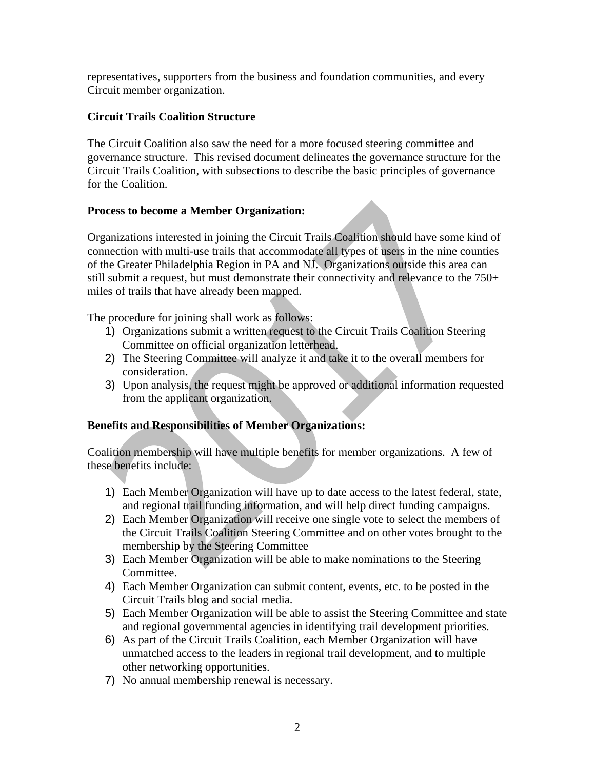representatives, supporters from the business and foundation communities, and every Circuit member organization.

# **Circuit Trails Coalition Structure**

The Circuit Coalition also saw the need for a more focused steering committee and governance structure. This revised document delineates the governance structure for the Circuit Trails Coalition, with subsections to describe the basic principles of governance for the Coalition.

# **Process to become a Member Organization:**

Organizations interested in joining the Circuit Trails Coalition should have some kind of connection with multi-use trails that accommodate all types of users in the nine counties of the Greater Philadelphia Region in PA and NJ. Organizations outside this area can still submit a request, but must demonstrate their connectivity and relevance to the 750+ miles of trails that have already been mapped.

The procedure for joining shall work as follows:

- 1) Organizations submit a written request to the Circuit Trails Coalition Steering Committee on official organization letterhead.
- 2) The Steering Committee will analyze it and take it to the overall members for consideration.
- 3) Upon analysis, the request might be approved or additional information requested from the applicant organization.

# **Benefits and Responsibilities of Member Organizations:**

Coalition membership will have multiple benefits for member organizations. A few of these benefits include:

- 1) Each Member Organization will have up to date access to the latest federal, state, and regional trail funding information, and will help direct funding campaigns.
- 2) Each Member Organization will receive one single vote to select the members of the Circuit Trails Coalition Steering Committee and on other votes brought to the membership by the Steering Committee
- 3) Each Member Organization will be able to make nominations to the Steering Committee.
- 4) Each Member Organization can submit content, events, etc. to be posted in the Circuit Trails blog and social media.
- 5) Each Member Organization will be able to assist the Steering Committee and state and regional governmental agencies in identifying trail development priorities.
- 6) As part of the Circuit Trails Coalition, each Member Organization will have unmatched access to the leaders in regional trail development, and to multiple other networking opportunities.
- 7) No annual membership renewal is necessary.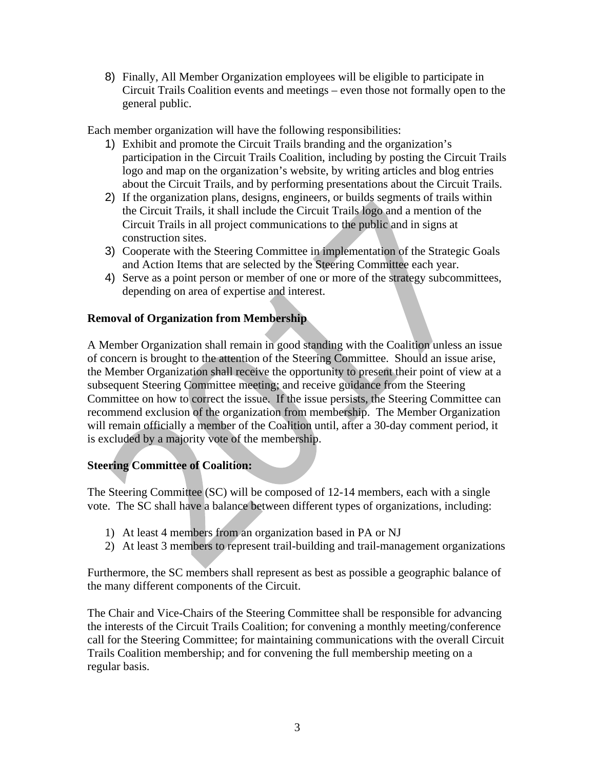8) Finally, All Member Organization employees will be eligible to participate in Circuit Trails Coalition events and meetings – even those not formally open to the general public.

Each member organization will have the following responsibilities:

- 1) Exhibit and promote the Circuit Trails branding and the organization's participation in the Circuit Trails Coalition, including by posting the Circuit Trails logo and map on the organization's website, by writing articles and blog entries about the Circuit Trails, and by performing presentations about the Circuit Trails.
- 2) If the organization plans, designs, engineers, or builds segments of trails within the Circuit Trails, it shall include the Circuit Trails logo and a mention of the Circuit Trails in all project communications to the public and in signs at construction sites.
- 3) Cooperate with the Steering Committee in implementation of the Strategic Goals and Action Items that are selected by the Steering Committee each year.
- 4) Serve as a point person or member of one or more of the strategy subcommittees, depending on area of expertise and interest.

# **Removal of Organization from Membership**

A Member Organization shall remain in good standing with the Coalition unless an issue of concern is brought to the attention of the Steering Committee. Should an issue arise, the Member Organization shall receive the opportunity to present their point of view at a subsequent Steering Committee meeting; and receive guidance from the Steering Committee on how to correct the issue. If the issue persists, the Steering Committee can recommend exclusion of the organization from membership. The Member Organization will remain officially a member of the Coalition until, after a 30-day comment period, it is excluded by a majority vote of the membership.

# **Steering Committee of Coalition:**

The Steering Committee (SC) will be composed of 12-14 members, each with a single vote. The SC shall have a balance between different types of organizations, including:

- 1) At least 4 members from an organization based in PA or NJ
- 2) At least 3 members to represent trail-building and trail-management organizations

Furthermore, the SC members shall represent as best as possible a geographic balance of the many different components of the Circuit.

The Chair and Vice-Chairs of the Steering Committee shall be responsible for advancing the interests of the Circuit Trails Coalition; for convening a monthly meeting/conference call for the Steering Committee; for maintaining communications with the overall Circuit Trails Coalition membership; and for convening the full membership meeting on a regular basis.